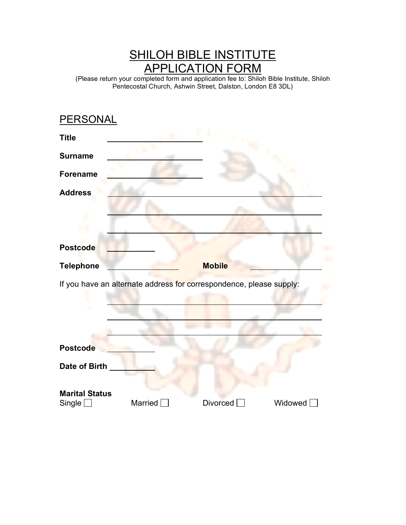## SHILOH BIBLE INSTITUTE APPLICATION FORM

(Please return your completed form and application fee to: Shiloh Bible Institute, Shiloh Pentecostal Church, Ashwin Street, Dalston, London E8 3DL)

| PERSONAL                                                            |         |                 |         |  |
|---------------------------------------------------------------------|---------|-----------------|---------|--|
| <b>Title</b>                                                        |         |                 |         |  |
| <b>Surname</b>                                                      |         |                 |         |  |
| <b>Forename</b>                                                     |         |                 |         |  |
| <b>Address</b>                                                      |         |                 |         |  |
|                                                                     |         |                 |         |  |
|                                                                     |         |                 |         |  |
| <b>Postcode</b>                                                     |         |                 |         |  |
| <b>Telephone</b>                                                    |         | <b>Mobile</b>   |         |  |
| If you have an alternate address for correspondence, please supply: |         |                 |         |  |
|                                                                     |         |                 |         |  |
|                                                                     |         |                 |         |  |
| <b>Postcode</b>                                                     |         |                 |         |  |
| Date of Birth                                                       |         |                 |         |  |
| <b>Marital Status</b><br>Single                                     | Married | <b>Divorced</b> | Widowed |  |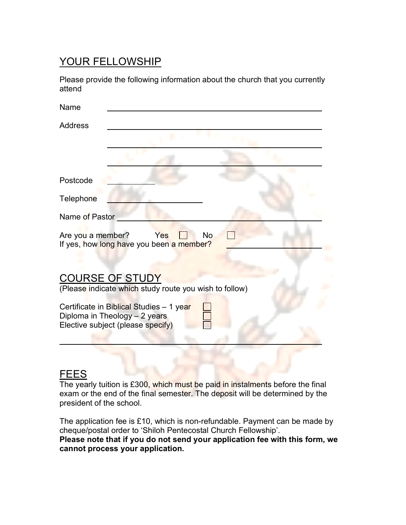## YOUR FELLOWSHIP

Please provide the following information about the church that you currently attend

| Name                                                                                                           |
|----------------------------------------------------------------------------------------------------------------|
| <b>Address</b>                                                                                                 |
| Postcode                                                                                                       |
| Telephone                                                                                                      |
| Name of Pastor                                                                                                 |
| Are you a member?<br>Yes<br>No<br>If yes, how long have you been a member?                                     |
| <b>COURSE OF STUDY</b><br>(Please indicate which study route you wish to follow)                               |
| Certificate in Biblical Studies - 1 year<br>Diploma in Theology - 2 years<br>Elective subject (please specify) |
|                                                                                                                |

## FEES

The yearly tuition is £300, which must be paid in instalments before the final exam or the end of the final semester. The deposit will be determined by the president of the school.

The application fee is £10, which is non-refundable. Payment can be made by cheque/postal order to 'Shiloh Pentecostal Church Fellowship'. **Please note that if you do not send your application fee with this form, we cannot process your application.**